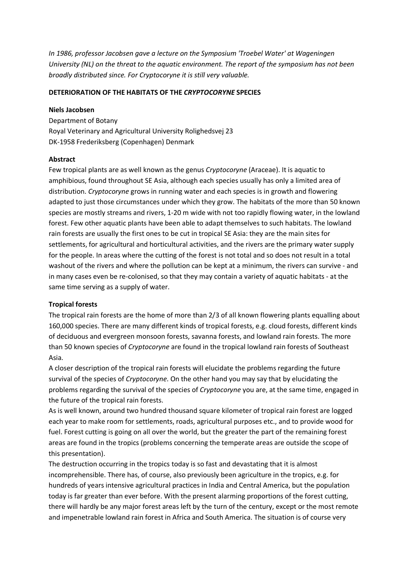*In 1986, professor Jacobsen gave a lecture on the Symposium 'Troebel Water' at Wageningen University (NL) on the threat to the aquatic environment. The report of the symposium has not been broadly distributed since. For Cryptocoryne it is still very valuable.*

## **DETERIORATION OF THE HABITATS OF THE** *CRYPTOCORYNE* **SPECIES**

### **Niels Jacobsen**

Department of Botany Royal Veterinary and Agricultural University Rolighedsvej 23 DK-1958 Frederiksberg (Copenhagen) Denmark

# **Abstract**

Few tropical plants are as well known as the genus *Cryptocoryne* (Araceae). It is aquatic to amphibious, found throughout SE Asia, although each species usually has only a limited area of distribution. *Cryptocoryne* grows in running water and each species is in growth and flowering adapted to just those circumstances under which they grow. The habitats of the more than 50 known species are mostly streams and rivers, 1-20 m wide with not too rapidly flowing water, in the lowland forest. Few other aquatic plants have been able to adapt themselves to such habitats. The lowland rain forests are usually the first ones to be cut in tropical SE Asia: they are the main sites for settlements, for agricultural and horticultural activities, and the rivers are the primary water supply for the people. In areas where the cutting of the forest is not total and so does not result in a total washout of the rivers and where the pollution can be kept at a minimum, the rivers can survive - and in many cases even be re-colonised, so that they may contain a variety of aquatic habitats - at the same time serving as a supply of water.

## **Tropical forests**

The tropical rain forests are the home of more than 2/3 of all known flowering plants equalling about 160,000 species. There are many different kinds of tropical forests, e.g. cloud forests, different kinds of deciduous and evergreen monsoon forests, savanna forests, and lowland rain forests. The more than 50 known species of *Cryptocoryne* are found in the tropical lowland rain forests of Southeast Asia.

A closer description of the tropical rain forests will elucidate the problems regarding the future survival of the species of *Cryptocoryne*. On the other hand you may say that by elucidating the problems regarding the survival of the species of *Cryptocoryne* you are, at the same time, engaged in the future of the tropical rain forests.

As is well known, around two hundred thousand square kilometer of tropical rain forest are logged each year to make room for settlements, roads, agricultural purposes etc., and to provide wood for fuel. Forest cutting is going on all over the world, but the greater the part of the remaining forest areas are found in the tropics (problems concerning the temperate areas are outside the scope of this presentation).

The destruction occurring in the tropics today is so fast and devastating that it is almost incomprehensible. There has, of course, also previously been agriculture in the tropics, e.g. for hundreds of years intensive agricultural practices in India and Central America, but the population today is far greater than ever before. With the present alarming proportions of the forest cutting, there will hardly be any major forest areas left by the turn of the century, except or the most remote and impenetrable lowland rain forest in Africa and South America. The situation is of course very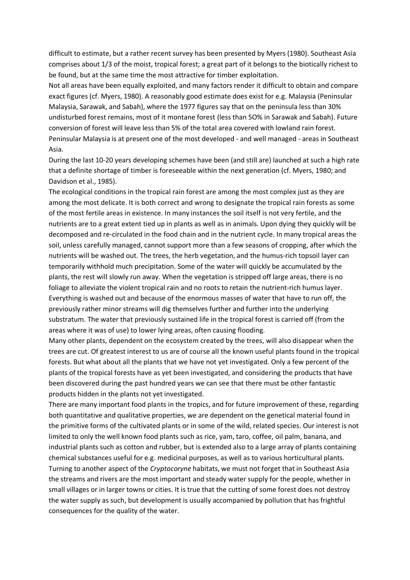difficult to estimate, but a rather recent survey has been presented by Myers (1980). Southeast Asia comprises about 1/3 of the moist, tropical forest; a great part of it belongs to the biotically richest to be found, but at the same time the most attractive for timber exploitation.

Not all areas have been equally exploited, and many factors render it difficult to obtain and compare exact figures (cf. Myers, 1980). A reasonably good estimate does exist for e.g. Malaysia (Peninsular Malaysia, Sarawak, and Sabah), where the 1977 figures say that on the peninsula less than 30% undisturbed forest remains, most of it montane forest (less than 5O% in Sarawak and Sabah). Future conversion of forest will leave less than 5% of the total area covered with lowland rain forest. Peninsular Malaysia is at present one of the most developed - and well managed - areas in Southeast Asia.

During the last 10-20 years developing schemes have been (and still are) launched at such a high rate that a definite shortage of timber is foreseeable within the next generation (cf. Myers, 1980; and Davidson et al., 1985).

The ecological conditions in the tropical rain forest are among the most complex just as they are among the most delicate. It is both correct and wrong to designate the tropical rain forests as some of the most fertile areas in existence. In many instances the soil itself is not very fertile, and the nutrients are to a great extent tied up in plants as well as in animals. Upon dying they quickly will be decomposed and re-circulated in the food chain and in the nutrient cycle. In many tropical areas the soil, unless carefully managed, cannot support more than a few seasons of cropping, after which the nutrients will be washed out. The trees, the herb vegetation, and the humus-rich topsoil layer can temporarily withhold much precipitation. Some of the water will quickly be accumulated by the plants, the rest will slowly run away. When the vegetation is stripped off large areas, there is no foliage to alleviate the violent tropical rain and no roots to retain the nutrient-rich humus layer. Everything is washed out and because of the enormous masses of water that have to run off, the previously rather minor streams will dig themselves further and further into the underlying substratum. The water that previously sustained life in the tropical forest is carried off (from the areas where it was of use) to lower lying areas, often causing flooding.

Many other plants, dependent on the ecosystem created by the trees, will also disappear when the trees are cut. Of greatest interest to us are of course all the known useful plants found in the tropical forests. But what about all the plants that we have not yet investigated. Only a few percent of the plants of the tropical forests have as yet been investigated, and considering the products that have been discovered during the past hundred years we can see that there must be other fantastic products hidden in the plants not yet investigated.

There are many important food plants in the tropics, and for future improvement of these, regarding both quantitative and qualitative properties, we are dependent on the genetical material found in the primitive forms of the cultivated plants or in some of the wild, related species. Our interest is not limited to only the well known food plants such as rice, yam, taro, coffee, oil palm, banana, and industrial plants such as cotton and rubber, but is extended also to a large array of plants containing chemical substances useful for e.g. medicinal purposes, as well as to various horticultural plants. Turning to another aspect of the *Cryptocoryne* habitats, we must not forget that in Southeast Asia the streams and rivers are the most important and steady water supply for the people, whether in small villages or in larger towns or cities. It is true that the cutting of some forest does not destroy the water supply as such, but development is usually accompanied by pollution that has frightful consequences for the quality of the water.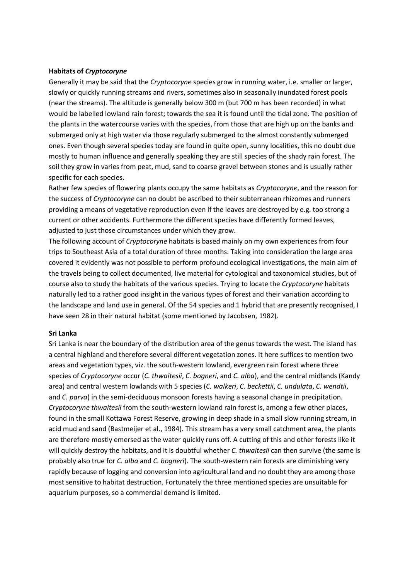### **Habitats of** *Cryptocoryne*

Generally it may be said that the *Cryptocoryne* species grow in running water, i.e. smaller or larger, slowly or quickly running streams and rivers, sometimes also in seasonally inundated forest pools (near the streams). The altitude is generally below 300 m (but 700 m has been recorded) in what would be labelled lowland rain forest; towards the sea it is found until the tidal zone. The position of the plants in the watercourse varies with the species, from those that are high up on the banks and submerged only at high water via those regularly submerged to the almost constantly submerged ones. Even though several species today are found in quite open, sunny localities, this no doubt due mostly to human influence and generally speaking they are still species of the shady rain forest. The soil they grow in varies from peat, mud, sand to coarse gravel between stones and is usually rather specific for each species.

Rather few species of flowering plants occupy the same habitats as *Cryptocoryne*, and the reason for the success of *Cryptocoryne* can no doubt be ascribed to their subterranean rhizomes and runners providing a means of vegetative reproduction even if the leaves are destroyed by e.g. too strong a current or other accidents. Furthermore the different species have differently formed leaves, adjusted to just those circumstances under which they grow.

The following account of *Cryptocoryne* habitats is based mainly on my own experiences from four trips to Southeast Asia of a total duration of three months. Taking into consideration the large area covered it evidently was not possible to perform profound ecological investigations, the main aim of the travels being to collect documented, live material for cytological and taxonomical studies, but of course also to study the habitats of the various species. Trying to locate the *Cryptocoryne* habitats naturally led to a rather good insight in the various types of forest and their variation according to the landscape and land use in general. Of the 54 species and 1 hybrid that are presently recognised, I have seen 28 in their natural habitat (some mentioned by Jacobsen, 1982).

#### **Sri Lanka**

Sri Lanka is near the boundary of the distribution area of the genus towards the west. The island has a central highland and therefore several different vegetation zones. It here suffices to mention two areas and vegetation types, viz. the south-western lowland, evergreen rain forest where three species of *Cryptocoryne* occur (*C. thwaitesii*, *C. bogneri*, and *C. alba*), and the central midlands (Kandy area) and central western lowlands with 5 species (*C. walkeri*, *C. beckettii*, *C. undulata*, *C. wendtii*, and *C. parva*) in the semi-deciduous monsoon forests having a seasonal change in precipitation. *Cryptocoryne thwaitesii* from the south-western lowland rain forest is, among a few other places, found in the small Kottawa Forest Reserve, growing in deep shade in a small slow running stream, in acid mud and sand (Bastmeijer et al., 1984). This stream has a very small catchment area, the plants are therefore mostly emersed as the water quickly runs off. A cutting of this and other forests like it will quickly destroy the habitats, and it is doubtful whether *C. thwaitesii* can then survive (the same is probably also true for *C. alba* and *C. bogneri*). The south-western rain forests are diminishing very rapidly because of logging and conversion into agricultural land and no doubt they are among those most sensitive to habitat destruction. Fortunately the three mentioned species are unsuitable for aquarium purposes, so a commercial demand is limited.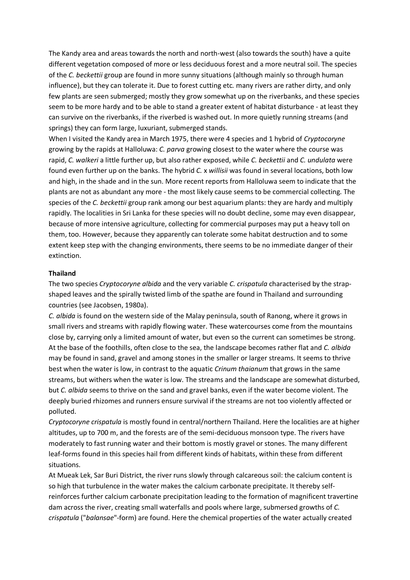The Kandy area and areas towards the north and north-west (also towards the south) have a quite different vegetation composed of more or less deciduous forest and a more neutral soil. The species of the *C. beckettii* group are found in more sunny situations (although mainly so through human influence), but they can tolerate it. Due to forest cutting etc*.* many rivers are rather dirty, and only few plants are seen submerged; mostly they grow somewhat up on the riverbanks, and these species seem to be more hardy and to be able to stand a greater extent of habitat disturbance - at least they can survive on the riverbanks, if the riverbed is washed out. In more quietly running streams (and springs) they can form large, luxuriant, submerged stands.

When I visited the Kandy area in March 1975, there were 4 species and 1 hybrid of *Cryptocoryne* growing by the rapids at Halloluwa: *C. parva* growing closest to the water where the course was rapid, *C. walkeri* a little further up, but also rather exposed, while *C. beckettii* and *C. undulata* were found even further up on the banks. The hybrid *C.* x *willisii* was found in several locations, both low and high, in the shade and in the sun. More recent reports from Halloluwa seem to indicate that the plants are not as abundant any more - the most likely cause seems to be commercial collecting. The species of the *C. beckettii* group rank among our best aquarium plants: they are hardy and multiply rapidly. The localities in Sri Lanka for these species will no doubt decline, some may even disappear, because of more intensive agriculture, collecting for commercial purposes may put a heavy toll on them, too. However, because they apparently can tolerate some habitat destruction and to some extent keep step with the changing environments, there seems to be no immediate danger of their extinction.

#### **Thailand**

The two species *Cryptocoryne albida* and the very variable *C. crispatula* characterised by the strapshaped leaves and the spirally twisted limb of the spathe are found in Thailand and surrounding countries (see Jacobsen, 1980a).

*C. albida* is found on the western side of the Malay peninsula, south of Ranong, where it grows in small rivers and streams with rapidly flowing water. These watercourses come from the mountains close by, carrying only a limited amount of water, but even so the current can sometimes be strong. At the base of the foothills, often close to the sea, the landscape becomes rather flat and *C. albida* may be found in sand, gravel and among stones in the smaller or larger streams. It seems to thrive best when the water is low, in contrast to the aquatic *Crinum thaianum* that grows in the same streams, but withers when the water is low. The streams and the landscape are somewhat disturbed, but *C. albida* seems to thrive on the sand and gravel banks, even if the water become violent. The deeply buried rhizomes and runners ensure survival if the streams are not too violently affected or polluted.

*Cryptocoryne crispatula* is mostly found in central/northern Thailand. Here the localities are at higher altitudes, up to 700 m, and the forests are of the semi-deciduous monsoon type. The rivers have moderately to fast running water and their bottom is mostly gravel or stones. The many different leaf-forms found in this species hail from different kinds of habitats, within these from different situations.

At Mueak Lek, Sar Buri District, the river runs slowly through calcareous soil: the calcium content is so high that turbulence in the water makes the calcium carbonate precipitate. It thereby selfreinforces further calcium carbonate precipitation leading to the formation of magnificent travertine dam across the river, creating small waterfalls and pools where large, submersed growths of *C. crispatula* ("*balansae*"-form) are found. Here the chemical properties of the water actually created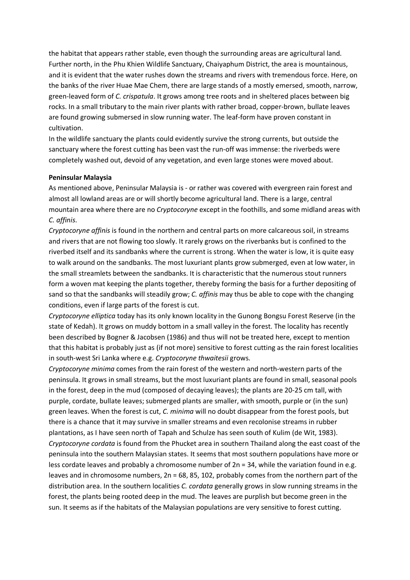the habitat that appears rather stable, even though the surrounding areas are agricultural land. Further north, in the Phu Khien Wildlife Sanctuary, Chaiyaphum District, the area is mountainous, and it is evident that the water rushes down the streams and rivers with tremendous force. Here, on the banks of the river Huae Mae Chem, there are large stands of a mostly emersed, smooth, narrow, green-leaved form of *C. crispatula*. It grows among tree roots and in sheltered places between big rocks. In a small tributary to the main river plants with rather broad, copper-brown, bullate leaves are found growing submersed in slow running water. The leaf-form have proven constant in cultivation.

In the wildlife sanctuary the plants could evidently survive the strong currents, but outside the sanctuary where the forest cutting has been vast the run-off was immense: the riverbeds were completely washed out, devoid of any vegetation, and even large stones were moved about.

### **Peninsular Malaysia**

As mentioned above, Peninsular Malaysia is - or rather was covered with evergreen rain forest and almost all lowland areas are or will shortly become agricultural land. There is a large, central mountain area where there are no *Cryptocoryne* except in the foothills, and some midland areas with *C. affinis*.

*Cryptocoryne affinis* is found in the northern and central parts on more calcareous soil, in streams and rivers that are not flowing too slowly. It rarely grows on the riverbanks but is confined to the riverbed itself and its sandbanks where the current is strong. When the water is low, it is quite easy to walk around on the sandbanks. The most luxuriant plants grow submerged, even at low water, in the small streamlets between the sandbanks. It is characteristic that the numerous stout runners form a woven mat keeping the plants together, thereby forming the basis for a further depositing of sand so that the sandbanks will steadily grow; *C. affinis* may thus be able to cope with the changing conditions, even if large parts of the forest is cut.

*Cryptocoryne elliptica* today has its only known locality in the Gunong Bongsu Forest Reserve (in the state of Kedah). It grows on muddy bottom in a small valley in the forest. The locality has recently been described by Bogner & Jacobsen (1986) and thus will not be treated here, except to mention that this habitat is probably just as (if not more) sensitive to forest cutting as the rain forest localities in south-west Sri Lanka where e.g. *Cryptocoryne thwaitesii* grows.

*Cryptocoryne minima* comes from the rain forest of the western and north-western parts of the peninsula. It grows in small streams, but the most luxuriant plants are found in small, seasonal pools in the forest, deep in the mud (composed of decaying leaves); the plants are 20-25 cm tall, with purple, cordate, bullate leaves; submerged plants are smaller, with smooth, purple or (in the sun) green leaves. When the forest is cut, *C. minima* will no doubt disappear from the forest pools, but there is a chance that it may survive in smaller streams and even recolonise streams in rubber plantations, as I have seen north of Tapah and Schulze has seen south of Kulim (de Wit, 1983). *Cryptocoryne cordata* is found from the Phucket area in southern Thailand along the east coast of the peninsula into the southern Malaysian states. It seems that most southern populations have more or less cordate leaves and probably a chromosome number of  $2n = 34$ , while the variation found in e.g. leaves and in chromosome numbers, 2n = 68, 85, 102, probably comes from the northern part of the distribution area. In the southern localities *C. cordata* generally grows in slow running streams in the forest, the plants being rooted deep in the mud. The leaves are purplish but become green in the sun. It seems as if the habitats of the Malaysian populations are very sensitive to forest cutting.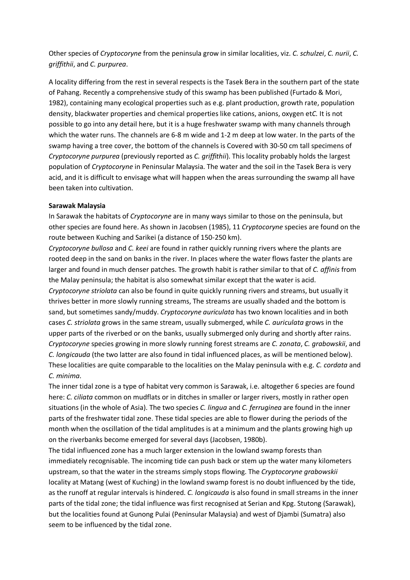Other species of *Cryptocoryne* from the peninsula grow in similar localities, viz. *C. schulzei*, *C. nurii*, *C. griffithii*, and *C. purpurea*.

A locality differing from the rest in several respects is the Tasek Bera in the southern part of the state of Pahang. Recently a comprehensive study of this swamp has been published (Furtado & Mori, 1982), containing many ecological properties such as e.g. plant production, growth rate, population density, blackwater properties and chemical properties like cations, anions, oxygen et*C.* It is not possible to go into any detail here, but it is a huge freshwater swamp with many channels through which the water runs. The channels are 6-8 m wide and 1-2 m deep at low water. In the parts of the swamp having a tree cover, the bottom of the channels is Covered with 30-50 cm tall specimens of *Cryptocoryne purpurea* (previously reported as *C. griffithii*). This locality probably holds the largest population of *Cryptocoryne* in Peninsular Malaysia. The water and the soil in the Tasek Bera is very acid, and it is difficult to envisage what will happen when the areas surrounding the swamp all have been taken into cultivation.

### **Sarawak Malaysia**

In Sarawak the habitats of *Cryptocoryne* are in many ways similar to those on the peninsula, but other species are found here. As shown in Jacobsen (1985), 11 *Cryptocoryne* species are found on the route between Kuching and Sarikei (a distance of 150-250 km).

*Cryptocoryne bullosa* and *C. keei* are found in rather quickly running rivers where the plants are rooted deep in the sand on banks in the river. In places where the water flows faster the plants are larger and found in much denser patches. The growth habit is rather similar to that of *C. affinis* from the Malay peninsula; the habitat is also somewhat similar except that the water is acid. *Cryptocoryne striolata* can also be found in quite quickly running rivers and streams, but usually it thrives better in more slowly running streams, The streams are usually shaded and the bottom is sand, but sometimes sandy/muddy. *Cryptocoryne auriculata* has two known localities and in both cases *C. striolata* grows in the same stream, usually submerged, while *C. auriculata* grows in the upper parts of the riverbed or on the banks, usually submerged only during and shortly after rains. *Cryptocoryne* species growing in more slowly running forest streams are *C. zonata*, *C. grabowskii*, and *C. longicauda* (the two latter are also found in tidal influenced places, as will be mentioned below). These localities are quite comparable to the localities on the Malay peninsula with e.g. *C. cordata* and *C. minima*.

The inner tidal zone is a type of habitat very common is Sarawak, i.e. altogether 6 species are found here: *C. ciliata* common on mudflats or in ditches in smaller or larger rivers, mostly in rather open situations (in the whole of Asia). The two species *C. lingua* and *C. ferruginea* are found in the inner parts of the freshwater tidal zone. These tidal species are able to flower during the periods of the month when the oscillation of the tidal amplitudes is at a minimum and the plants growing high up on the riverbanks become emerged for several days (Jacobsen, 1980b).

The tidal influenced zone has a much larger extension in the lowland swamp forests than immediately recognisable. The incoming tide can push back or stem up the water many kilometers upstream, so that the water in the streams simply stops flowing. The *Cryptocoryne grabowskii* locality at Matang (west of Kuching) in the lowland swamp forest is no doubt influenced by the tide, as the runoff at regular intervals is hindered. *C. longicauda* is also found in small streams in the inner parts of the tidal zone; the tidal influence was first recognised at Serian and Kpg. Stutong (Sarawak), but the localities found at Gunong Pulai (Peninsular Malaysia) and west of Djambi (Sumatra) also seem to be influenced by the tidal zone.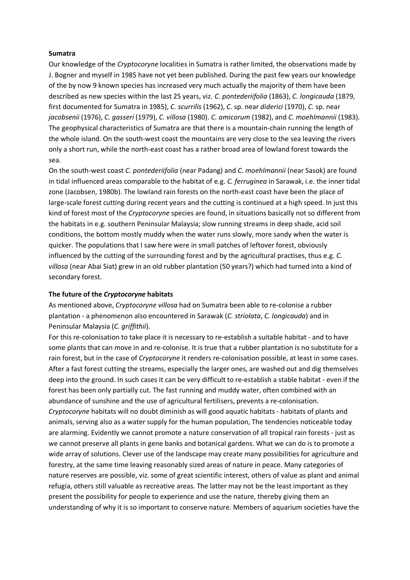#### **Sumatra**

Our knowledge of the *Cryptocoryne* localities in Sumatra is rather limited, the observations made by J. Bogner and myself in 1985 have not yet been published. During the past few years our knowledge of the by now 9 known species has increased very much actually the majority of them have been described as new species within the last 25 years, viz. *C. pontederiifolia* (1863), *C. longicauda* (1879, first documented for Sumatra in 1985), *C. scurrilis* (1962), *C.* sp. near *diderici* (1970), *C.* sp. near *jacobsenii* (1976), *C. gasseri* (1979), *C. villosa* (1980). *C. amicorum* (1982), and *C. moehlmannii* (1983). The geophysical characteristics of Sumatra are that there is a mountain-chain running the length of the whole island. On the south-west coast the mountains are very close to the sea leaving the rivers only a short run, while the north-east coast has a rather broad area of lowland forest towards the sea.

On the south-west coast *C. pontederiifolia* (near Padang) and *C. moehlmannii* (near Sasok) are found in tidal influenced areas comparable to the habitat of e.g. *C. ferruginea* in Sarawak, i.e. the inner tidal zone (Jacobsen, 1980b). The lowland rain forests on the north-east coast have been the place of large-scale forest cutting during recent years and the cutting is continued at a high speed. In just this kind of forest most of the *Cryptocoryne* species are found, in situations basically not so different from the habitats in e.g. southern Peninsular Malaysia; slow running streams in deep shade, acid soil conditions, the bottom mostly muddy when the water runs slowly, more sandy when the water is quicker. The populations that I saw here were in small patches of leftover forest, obviously influenced by the cutting of the surrounding forest and by the agricultural practises, thus e.g. *C. villosa* (near Abai Siat) grew in an old rubber plantation (50 years?) which had turned into a kind of secondary forest.

## **The future of the** *Cryptocoryne* **habitats**

As mentioned above, *Cryptocoryne villosa* had on Sumatra been able to re-colonise a rubber plantation - a phenomenon also encountered in Sarawak (*C. striolata*, *C. longicauda*) and in Peninsular Malaysia (*C. griffithii*).

For this re-colonisation to take place it is necessary to re-establish a suitable habitat - and to have some plants that can move in and re-colonise. It is true that a rubber plantation is no substitute for a rain forest, but in the case of *Cryptocoryne* it renders re-colonisation possible, at least in some cases. After a fast forest cutting the streams, especially the larger ones, are washed out and dig themselves deep into the ground. In such cases it can be very difficult to re-establish a stable habitat - even if the forest has been only partially cut. The fast running and muddy water, often combined with an abundance of sunshine and the use of agricultural fertilisers, prevents a re-colonisation. *Cryptocoryne* habitats will no doubt diminish as will good aquatic habitats - habitats of plants and animals, serving also as a water supply for the human population, The tendencies noticeable today are alarming. Evidently we cannot promote a nature conservation of all tropical rain forests - just as we cannot preserve all plants in gene banks and botanical gardens. What we can do is to promote a wide array of solutions. Clever use of the landscape may create many possibilities for agriculture and forestry, at the same time leaving reasonably sized areas of nature in peace. Many categories of nature reserves are possible, viz. some of great scientific interest, others of value as plant and animal refugia, others still valuable as recreative areas. The latter may not be the least important as they present the possibility for people to experience and use the nature, thereby giving them an understanding of why it is so important to conserve nature. Members of aquarium societies have the